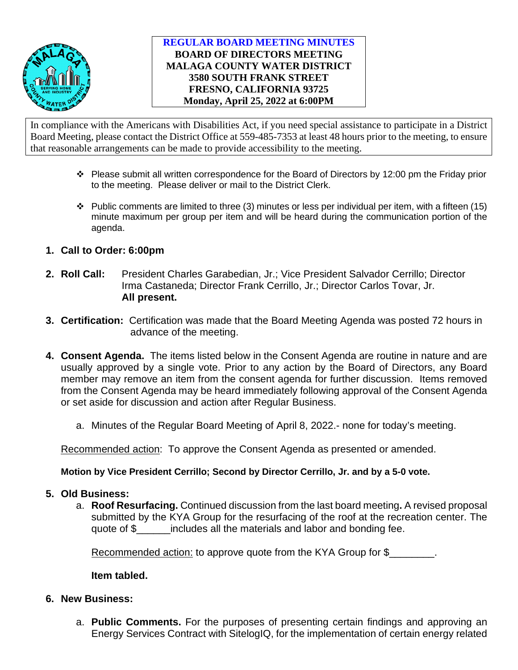

## **REGULAR BOARD MEETING MINUTES BOARD OF DIRECTORS MEETING MALAGA COUNTY WATER DISTRICT 3580 SOUTH FRANK STREET FRESNO, CALIFORNIA 93725 Monday, April 25, 2022 at 6:00PM**

In compliance with the Americans with Disabilities Act, if you need special assistance to participate in a District Board Meeting, please contact the District Office at 559-485-7353 at least 48 hours prior to the meeting, to ensure that reasonable arrangements can be made to provide accessibility to the meeting.

- $\cdot \cdot$  Please submit all written correspondence for the Board of Directors by 12:00 pm the Friday prior to the meeting. Please deliver or mail to the District Clerk.
- $\cdot \cdot$  Public comments are limited to three (3) minutes or less per individual per item, with a fifteen (15) minute maximum per group per item and will be heard during the communication portion of the agenda.
- **1. Call to Order: 6:00pm**
- **2. Roll Call:** President Charles Garabedian, Jr.; Vice President Salvador Cerrillo; Director Irma Castaneda; Director Frank Cerrillo, Jr.; Director Carlos Tovar, Jr. **All present.**
- **3. Certification:** Certification was made that the Board Meeting Agenda was posted 72 hours in advance of the meeting.
- **4. Consent Agenda.** The items listed below in the Consent Agenda are routine in nature and are usually approved by a single vote. Prior to any action by the Board of Directors, any Board member may remove an item from the consent agenda for further discussion. Items removed from the Consent Agenda may be heard immediately following approval of the Consent Agenda or set aside for discussion and action after Regular Business.
	- a. Minutes of the Regular Board Meeting of April 8, 2022.- none for today's meeting.

Recommended action: To approve the Consent Agenda as presented or amended.

### **Motion by Vice President Cerrillo; Second by Director Cerrillo, Jr. and by a 5-0 vote.**

### **5. Old Business:**

a. **Roof Resurfacing.** Continued discussion from the last board meeting**.** A revised proposal submitted by the KYA Group for the resurfacing of the roof at the recreation center. The quote of \$\_\_\_\_\_\_includes all the materials and labor and bonding fee.

Recommended action: to approve quote from the KYA Group for \$

**Item tabled.**

- **6. New Business:**
	- a. **Public Comments.** For the purposes of presenting certain findings and approving an Energy Services Contract with SitelogIQ, for the implementation of certain energy related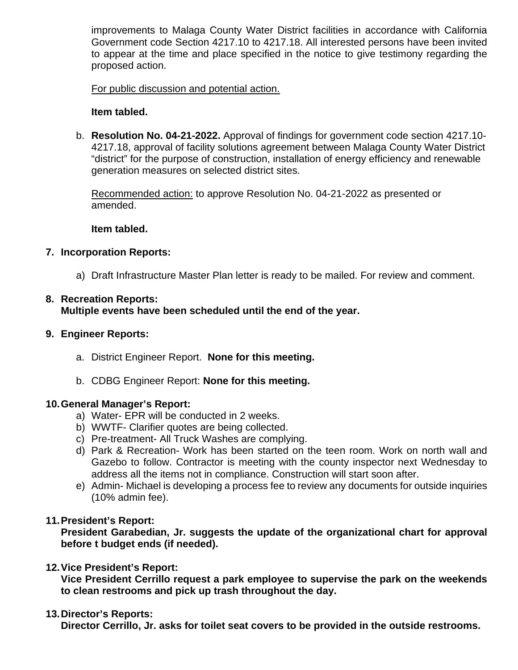improvements to Malaga County Water District facilities in accordance with California Government code Section 4217.10 to 4217.18. All interested persons have been invited to appear at the time and place specified in the notice to give testimony regarding the proposed action.

For public discussion and potential action.

### **Item tabled.**

b. **Resolution No. 04-21-2022.** Approval of findings for government code section 4217.10- 4217.18, approval of facility solutions agreement between Malaga County Water District "district" for the purpose of construction, installation of energy efficiency and renewable generation measures on selected district sites.

Recommended action: to approve Resolution No. 04-21-2022 as presented or amended.

#### **Item tabled.**

### **7. Incorporation Reports:**

a) Draft Infrastructure Master Plan letter is ready to be mailed. For review and comment.

# **8. Recreation Reports:**

**Multiple events have been scheduled until the end of the year.** 

### **9. Engineer Reports:**

- a. District Engineer Report. **None for this meeting.**
- b. CDBG Engineer Report: **None for this meeting.**

#### **10.General Manager's Report:**

- a) Water- EPR will be conducted in 2 weeks.
- b) WWTF- Clarifier quotes are being collected.
- c) Pre-treatment- All Truck Washes are complying.
- d) Park & Recreation- Work has been started on the teen room. Work on north wall and Gazebo to follow. Contractor is meeting with the county inspector next Wednesday to address all the items not in compliance. Construction will start soon after.
- e) Admin- Michael is developing a process fee to review any documents for outside inquiries (10% admin fee).

### **11.President's Report:**

**President Garabedian, Jr. suggests the update of the organizational chart for approval before t budget ends (if needed).** 

### **12.Vice President's Report:**

**Vice President Cerrillo request a park employee to supervise the park on the weekends to clean restrooms and pick up trash throughout the day.**

#### **13.Director's Reports:**

**Director Cerrillo, Jr. asks for toilet seat covers to be provided in the outside restrooms.**